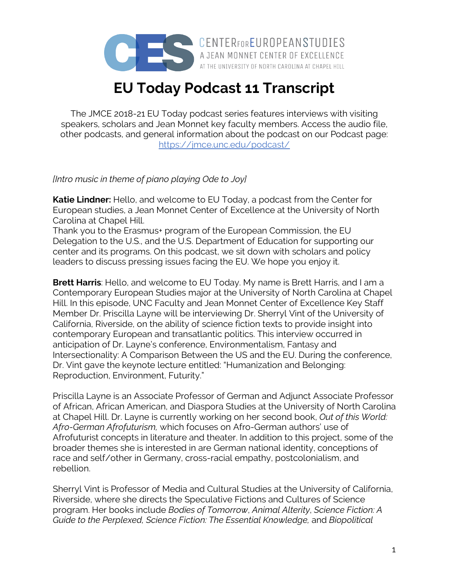

A JEAN MONNET CENTER OF EXCELLENCE AT THE UNIVERSITY OF NORTH CAROLINA AT CHAPEL HILL

## **EU Today Podcast 11 Transcript**

The JMCE 2018-21 EU Today podcast series features interviews with visiting speakers, scholars and Jean Monnet key faculty members. Access the audio file, other podcasts, and general information about the podcast on our Podcast page: https://jmce.unc.edu/podcast/

## *[Intro music in theme of piano playing Ode to Joy]*

**Katie Lindner:** Hello, and welcome to EU Today, a podcast from the Center for European studies, a Jean Monnet Center of Excellence at the University of North Carolina at Chapel Hill.

Thank you to the Erasmus+ program of the European Commission, the EU Delegation to the U.S., and the U.S. Department of Education for supporting our center and its programs. On this podcast, we sit down with scholars and policy leaders to discuss pressing issues facing the EU. We hope you enjoy it.

**Brett Harris**: Hello, and welcome to EU Today. My name is Brett Harris, and I am a Contemporary European Studies major at the University of North Carolina at Chapel Hill. In this episode, UNC Faculty and Jean Monnet Center of Excellence Key Staff Member Dr. Priscilla Layne will be interviewing Dr. Sherryl Vint of the University of California, Riverside, on the ability of science fiction texts to provide insight into contemporary European and transatlantic politics. This interview occurred in anticipation of Dr. Layne's conference, Environmentalism, Fantasy and Intersectionality: A Comparison Between the US and the EU. During the conference, Dr. Vint gave the keynote lecture entitled: "Humanization and Belonging: Reproduction, Environment, Futurity."

Priscilla Layne is an Associate Professor of German and Adjunct Associate Professor of African, African American, and Diaspora Studies at the University of North Carolina at Chapel Hill. Dr. Layne is currently working on her second book, *Out of this World: Afro-German Afrofuturism,* which focuses on Afro-German authors' use of Afrofuturist concepts in literature and theater. In addition to this project, some of the broader themes she is interested in are German national identity, conceptions of race and self/other in Germany, cross-racial empathy, postcolonialism, and rebellion.

Sherryl Vint is Professor of Media and Cultural Studies at the University of California, Riverside, where she directs the Speculative Fictions and Cultures of Science program. Her books include *Bodies of Tomorrow*, *Animal Alterity*, *Science Fiction: A Guide to the Perplexed, Science Fiction: The Essential Knowledge,* and *Biopolitical*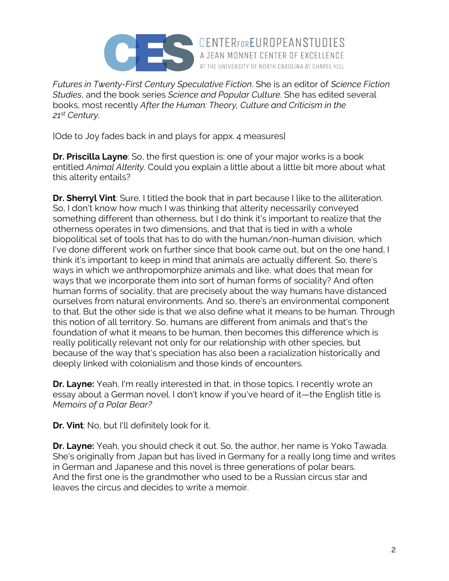

*Futures in Twenty-First Century Speculative Fiction*. She is an editor of *Science Fiction Studies*, and the book series *Science and Popular Culture*. She has edited several books, most recently *After the Human: Theory, Culture and Criticism in the 21st Century*.

AT THE UNIVERSITY OF NORTH CAROLINA AT CHAPEL HILL

[Ode to Joy fades back in and plays for appx. 4 measures]

**Dr. Priscilla Layne**: So, the first question is: one of your major works is a book entitled *Animal Alterity*. Could you explain a little about a little bit more about what this alterity entails?

**Dr. Sherryl Vint**: Sure, I titled the book that in part because I like to the alliteration. So, I don't know how much I was thinking that alterity necessarily conveyed something different than otherness, but I do think it's important to realize that the otherness operates in two dimensions, and that that is tied in with a whole biopolitical set of tools that has to do with the human/non-human division, which I've done different work on further since that book came out, but on the one hand, I think it's important to keep in mind that animals are actually different. So, there's ways in which we anthropomorphize animals and like, what does that mean for ways that we incorporate them into sort of human forms of sociality? And often human forms of sociality, that are precisely about the way humans have distanced ourselves from natural environments. And so, there's an environmental component to that. But the other side is that we also define what it means to be human. Through this notion of all territory. So, humans are different from animals and that's the foundation of what it means to be human, then becomes this difference which is really politically relevant not only for our relationship with other species, but because of the way that's speciation has also been a racialization historically and deeply linked with colonialism and those kinds of encounters.

**Dr. Layne:** Yeah, I'm really interested in that, in those topics. I recently wrote an essay about a German novel. I don't know if you've heard of it—the English title is *Memoirs of a Polar Bear?*

**Dr. Vint**: No, but I'll definitely look for it.

**Dr. Layne:** Yeah, you should check it out. So, the author, her name is Yoko Tawada. She's originally from Japan but has lived in Germany for a really long time and writes in German and Japanese and this novel is three generations of polar bears. And the first one is the grandmother who used to be a Russian circus star and leaves the circus and decides to write a memoir.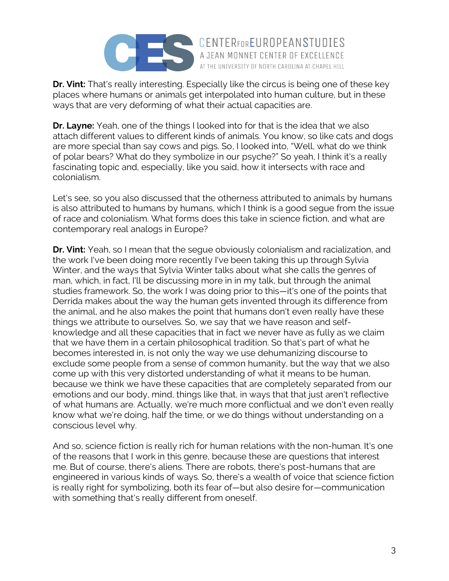

**Dr. Vint:** That's really interesting. Especially like the circus is being one of these key places where humans or animals get interpolated into human culture, but in these ways that are very deforming of what their actual capacities are.

AT THE UNIVERSITY OF NORTH CAROLINA AT CHAPEL HILL

**Dr. Layne:** Yeah, one of the things I looked into for that is the idea that we also attach different values to different kinds of animals. You know, so like cats and dogs are more special than say cows and pigs. So, I looked into, "Well, what do we think of polar bears? What do they symbolize in our psyche?" So yeah, I think it's a really fascinating topic and, especially, like you said, how it intersects with race and colonialism.

Let's see, so you also discussed that the otherness attributed to animals by humans is also attributed to humans by humans, which I think is a good segue from the issue of race and colonialism. What forms does this take in science fiction, and what are contemporary real analogs in Europe?

**Dr. Vint:** Yeah, so I mean that the segue obviously colonialism and racialization, and the work I've been doing more recently I've been taking this up through Sylvia Winter, and the ways that Sylvia Winter talks about what she calls the genres of man, which, in fact, I'll be discussing more in in my talk, but through the animal studies framework. So, the work I was doing prior to this—it's one of the points that Derrida makes about the way the human gets invented through its difference from the animal, and he also makes the point that humans don't even really have these things we attribute to ourselves. So, we say that we have reason and selfknowledge and all these capacities that in fact we never have as fully as we claim that we have them in a certain philosophical tradition. So that's part of what he becomes interested in, is not only the way we use dehumanizing discourse to exclude some people from a sense of common humanity, but the way that we also come up with this very distorted understanding of what it means to be human, because we think we have these capacities that are completely separated from our emotions and our body, mind, things like that, in ways that that just aren't reflective of what humans are. Actually, we're much more conflictual and we don't even really know what we're doing, half the time, or we do things without understanding on a conscious level why.

And so, science fiction is really rich for human relations with the non-human. It's one of the reasons that I work in this genre, because these are questions that interest me. But of course, there's aliens. There are robots, there's post-humans that are engineered in various kinds of ways. So, there's a wealth of voice that science fiction is really right for symbolizing, both its fear of—but also desire for—communication with something that's really different from oneself.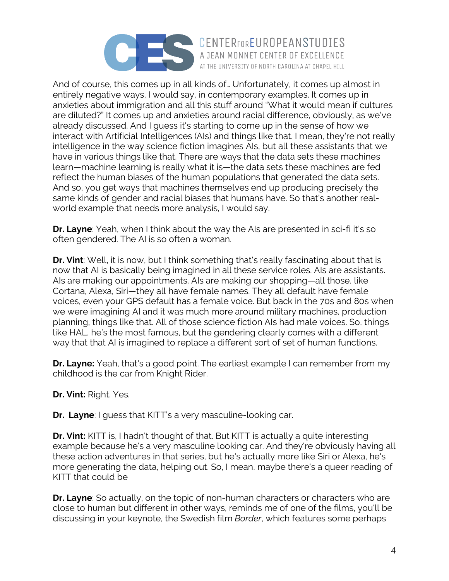

And of course, this comes up in all kinds of… Unfortunately, it comes up almost in entirely negative ways, I would say, in contemporary examples. It comes up in anxieties about immigration and all this stuff around "What it would mean if cultures are diluted?" It comes up and anxieties around racial difference, obviously, as we've already discussed. And I guess it's starting to come up in the sense of how we interact with Artificial Intelligences (AIs) and things like that. I mean, they're not really intelligence in the way science fiction imagines AIs, but all these assistants that we have in various things like that. There are ways that the data sets these machines learn—machine learning is really what it is—the data sets these machines are fed reflect the human biases of the human populations that generated the data sets. And so, you get ways that machines themselves end up producing precisely the same kinds of gender and racial biases that humans have. So that's another realworld example that needs more analysis, I would say.

AT THE UNIVERSITY OF NORTH CAROLINA AT CHAPEL HILL

**Dr. Layne**: Yeah, when I think about the way the AIs are presented in sci-fi it's so often gendered. The AI is so often a woman.

**Dr. Vint**: Well, it is now, but I think something that's really fascinating about that is now that AI is basically being imagined in all these service roles. AIs are assistants. AIs are making our appointments. AIs are making our shopping—all those, like Cortana, Alexa, Siri—they all have female names. They all default have female voices, even your GPS default has a female voice. But back in the 70s and 80s when we were imagining AI and it was much more around military machines, production planning, things like that. All of those science fiction AIs had male voices. So, things like HAL, he's the most famous, but the gendering clearly comes with a different way that that AI is imagined to replace a different sort of set of human functions.

**Dr. Layne:** Yeah, that's a good point. The earliest example I can remember from my childhood is the car from Knight Rider.

**Dr. Vint:** Right. Yes.

**Dr. Layne**: I guess that KITT's a very masculine-looking car.

**Dr. Vint:** KITT is, I hadn't thought of that. But KITT is actually a quite interesting example because he's a very masculine looking car. And they're obviously having all these action adventures in that series, but he's actually more like Siri or Alexa, he's more generating the data, helping out. So, I mean, maybe there's a queer reading of KITT that could be

**Dr. Layne**: So actually, on the topic of non-human characters or characters who are close to human but different in other ways, reminds me of one of the films, you'll be discussing in your keynote, the Swedish film *Border*, which features some perhaps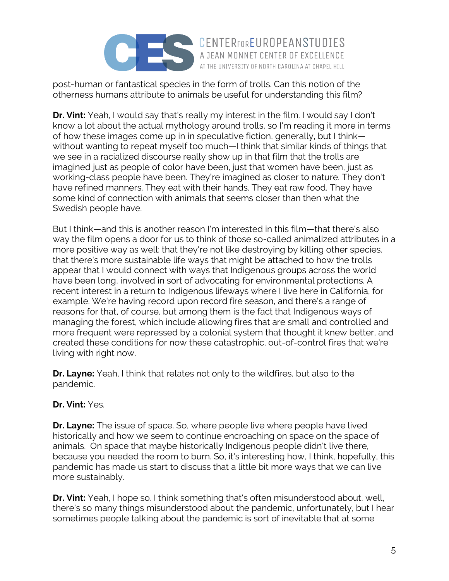

post-human or fantastical species in the form of trolls. Can this notion of the otherness humans attribute to animals be useful for understanding this film?

**Dr. Vint:** Yeah, I would say that's really my interest in the film. I would say I don't know a lot about the actual mythology around trolls, so I'm reading it more in terms of how these images come up in in speculative fiction, generally, but I think without wanting to repeat myself too much—I think that similar kinds of things that we see in a racialized discourse really show up in that film that the trolls are imagined just as people of color have been, just that women have been, just as working-class people have been. They're imagined as closer to nature. They don't have refined manners. They eat with their hands. They eat raw food. They have some kind of connection with animals that seems closer than then what the Swedish people have.

AT THE UNIVERSITY OF NORTH CAROLINA AT CHAPEL HILL

But I think—and this is another reason I'm interested in this film—that there's also way the film opens a door for us to think of those so-called animalized attributes in a more positive way as well: that they're not like destroying by killing other species, that there's more sustainable life ways that might be attached to how the trolls appear that I would connect with ways that Indigenous groups across the world have been long, involved in sort of advocating for environmental protections. A recent interest in a return to Indigenous lifeways where I live here in California, for example. We're having record upon record fire season, and there's a range of reasons for that, of course, but among them is the fact that Indigenous ways of managing the forest, which include allowing fires that are small and controlled and more frequent were repressed by a colonial system that thought it knew better, and created these conditions for now these catastrophic, out-of-control fires that we're living with right now.

**Dr. Layne:** Yeah, I think that relates not only to the wildfires, but also to the pandemic.

## **Dr. Vint:** Yes.

**Dr. Layne:** The issue of space. So, where people live where people have lived historically and how we seem to continue encroaching on space on the space of animals. On space that maybe historically Indigenous people didn't live there, because you needed the room to burn. So, it's interesting how, I think, hopefully, this pandemic has made us start to discuss that a little bit more ways that we can live more sustainably.

**Dr. Vint:** Yeah, I hope so. I think something that's often misunderstood about, well, there's so many things misunderstood about the pandemic, unfortunately, but I hear sometimes people talking about the pandemic is sort of inevitable that at some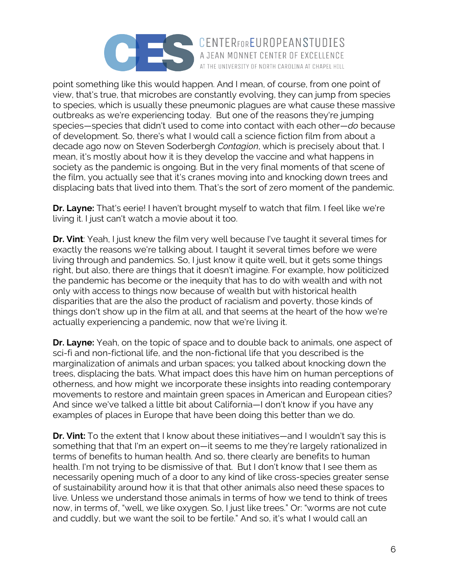

point something like this would happen. And I mean, of course, from one point of view, that's true, that microbes are constantly evolving, they can jump from species to species, which is usually these pneumonic plagues are what cause these massive outbreaks as we're experiencing today. But one of the reasons they're jumping species—species that didn't used to come into contact with each other—*do* because of development. So, there's what I would call a science fiction film from about a decade ago now on Steven Soderbergh *Contagion*, which is precisely about that. I mean, it's mostly about how it is they develop the vaccine and what happens in society as the pandemic is ongoing. But in the very final moments of that scene of the film, you actually see that it's cranes moving into and knocking down trees and displacing bats that lived into them. That's the sort of zero moment of the pandemic.

AT THE UNIVERSITY OF NORTH CAROLINA AT CHAPEL HILL

**Dr. Layne:** That's eerie! I haven't brought myself to watch that film. I feel like we're living it. I just can't watch a movie about it too.

**Dr. Vint**: Yeah, I just knew the film very well because I've taught it several times for exactly the reasons we're talking about. I taught it several times before we were living through and pandemics. So, I just know it quite well, but it gets some things right, but also, there are things that it doesn't imagine. For example, how politicized the pandemic has become or the inequity that has to do with wealth and with not only with access to things now because of wealth but with historical health disparities that are the also the product of racialism and poverty, those kinds of things don't show up in the film at all, and that seems at the heart of the how we're actually experiencing a pandemic, now that we're living it.

**Dr. Layne:** Yeah, on the topic of space and to double back to animals, one aspect of sci-fi and non-fictional life, and the non-fictional life that you described is the marginalization of animals and urban spaces; you talked about knocking down the trees, displacing the bats. What impact does this have him on human perceptions of otherness, and how might we incorporate these insights into reading contemporary movements to restore and maintain green spaces in American and European cities? And since we've talked a little bit about California—I don't know if you have any examples of places in Europe that have been doing this better than we do.

**Dr. Vint:** To the extent that I know about these initiatives—and I wouldn't say this is something that that I'm an expert on—it seems to me they're largely rationalized in terms of benefits to human health. And so, there clearly are benefits to human health. I'm not trying to be dismissive of that. But I don't know that I see them as necessarily opening much of a door to any kind of like cross-species greater sense of sustainability around how it is that that other animals also need these spaces to live. Unless we understand those animals in terms of how we tend to think of trees now, in terms of, "well, we like oxygen. So, I just like trees." Or: "worms are not cute and cuddly, but we want the soil to be fertile." And so, it's what I would call an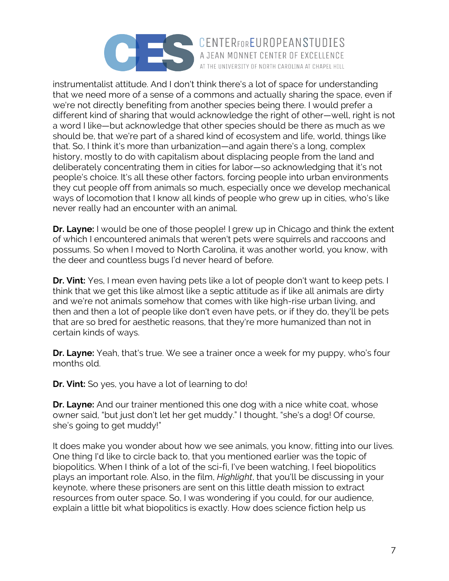

instrumentalist attitude. And I don't think there's a lot of space for understanding that we need more of a sense of a commons and actually sharing the space, even if we're not directly benefiting from another species being there. I would prefer a different kind of sharing that would acknowledge the right of other—well, right is not a word I like—but acknowledge that other species should be there as much as we should be, that we're part of a shared kind of ecosystem and life, world, things like that. So, I think it's more than urbanization—and again there's a long, complex history, mostly to do with capitalism about displacing people from the land and deliberately concentrating them in cities for labor—so acknowledging that it's not people's choice. It's all these other factors, forcing people into urban environments they cut people off from animals so much, especially once we develop mechanical ways of locomotion that I know all kinds of people who grew up in cities, who's like never really had an encounter with an animal.

**Dr. Layne:** I would be one of those people! I grew up in Chicago and think the extent of which I encountered animals that weren't pets were squirrels and raccoons and possums. So when I moved to North Carolina, it was another world, you know, with the deer and countless bugs I'd never heard of before.

**Dr. Vint:** Yes, I mean even having pets like a lot of people don't want to keep pets. I think that we get this like almost like a septic attitude as if like all animals are dirty and we're not animals somehow that comes with like high-rise urban living, and then and then a lot of people like don't even have pets, or if they do, they'll be pets that are so bred for aesthetic reasons, that they're more humanized than not in certain kinds of ways.

**Dr. Layne:** Yeah, that's true. We see a trainer once a week for my puppy, who's four months old.

**Dr. Vint:** So yes, you have a lot of learning to do!

**Dr. Layne:** And our trainer mentioned this one dog with a nice white coat, whose owner said, "but just don't let her get muddy." I thought, "she's a dog! Of course, she's going to get muddy!"

It does make you wonder about how we see animals, you know, fitting into our lives. One thing I'd like to circle back to, that you mentioned earlier was the topic of biopolitics. When I think of a lot of the sci-fi, I've been watching, I feel biopolitics plays an important role. Also, in the film, *Highlight*, that you'll be discussing in your keynote, where these prisoners are sent on this little death mission to extract resources from outer space. So, I was wondering if you could, for our audience, explain a little bit what biopolitics is exactly. How does science fiction help us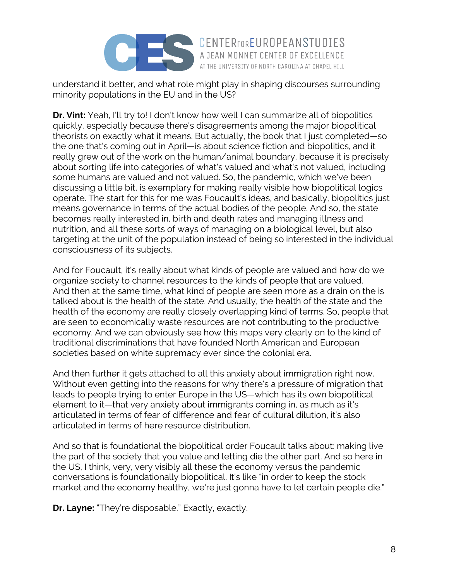

understand it better, and what role might play in shaping discourses surrounding minority populations in the EU and in the US?

AT THE UNIVERSITY OF NORTH CAROLINA AT CHAPEL HILL

**Dr. Vint:** Yeah, I'll try to! I don't know how well I can summarize all of biopolitics quickly, especially because there's disagreements among the major biopolitical theorists on exactly what it means. But actually, the book that I just completed—so the one that's coming out in April—is about science fiction and biopolitics, and it really grew out of the work on the human/animal boundary, because it is precisely about sorting life into categories of what's valued and what's not valued, including some humans are valued and not valued. So, the pandemic, which we've been discussing a little bit, is exemplary for making really visible how biopolitical logics operate. The start for this for me was Foucault's ideas, and basically, biopolitics just means governance in terms of the actual bodies of the people. And so, the state becomes really interested in, birth and death rates and managing illness and nutrition, and all these sorts of ways of managing on a biological level, but also targeting at the unit of the population instead of being so interested in the individual consciousness of its subjects.

And for Foucault, it's really about what kinds of people are valued and how do we organize society to channel resources to the kinds of people that are valued. And then at the same time, what kind of people are seen more as a drain on the is talked about is the health of the state. And usually, the health of the state and the health of the economy are really closely overlapping kind of terms. So, people that are seen to economically waste resources are not contributing to the productive economy. And we can obviously see how this maps very clearly on to the kind of traditional discriminations that have founded North American and European societies based on white supremacy ever since the colonial era.

And then further it gets attached to all this anxiety about immigration right now. Without even getting into the reasons for why there's a pressure of migration that leads to people trying to enter Europe in the US—which has its own biopolitical element to it—that very anxiety about immigrants coming in, as much as it's articulated in terms of fear of difference and fear of cultural dilution, it's also articulated in terms of here resource distribution.

And so that is foundational the biopolitical order Foucault talks about: making live the part of the society that you value and letting die the other part. And so here in the US, I think, very, very visibly all these the economy versus the pandemic conversations is foundationally biopolitical. It's like "in order to keep the stock market and the economy healthy, we're just gonna have to let certain people die."

**Dr. Layne:** "They're disposable." Exactly, exactly.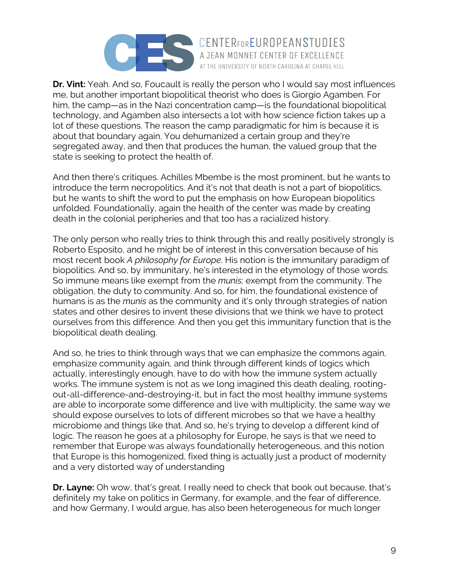

**Dr. Vint:** Yeah. And so, Foucault is really the person who I would say most influences me, but another important biopolitical theorist who does is Giorgio Agamben. For him, the camp—as in the Nazi concentration camp—is the foundational biopolitical technology, and Agamben also intersects a lot with how science fiction takes up a lot of these questions. The reason the camp paradigmatic for him is because it is about that boundary again. You dehumanized a certain group and they're segregated away, and then that produces the human, the valued group that the state is seeking to protect the health of.

AT THE UNIVERSITY OF NORTH CAROLINA AT CHAPEL HILL

And then there's critiques. Achilles Mbembe is the most prominent, but he wants to introduce the term necropolitics. And it's not that death is not a part of biopolitics, but he wants to shift the word to put the emphasis on how European biopolitics unfolded. Foundationally, again the health of the center was made by creating death in the colonial peripheries and that too has a racialized history.

The only person who really tries to think through this and really positively strongly is Roberto Esposito, and he might be of interest in this conversation because of his most recent book *A philosophy for Europe*. His notion is the immunitary paradigm of biopolitics. And so, by immunitary, he's interested in the etymology of those words. So immune means like exempt from the *munis;* exempt from the community. The obligation, the duty to community. And so, for him, the foundational existence of humans is as the *munis* as the community and it's only through strategies of nation states and other desires to invent these divisions that we think we have to protect ourselves from this difference. And then you get this immunitary function that is the biopolitical death dealing.

And so, he tries to think through ways that we can emphasize the commons again, emphasize community again, and think through different kinds of logics which actually, interestingly enough, have to do with how the immune system actually works. The immune system is not as we long imagined this death dealing, rootingout-all-difference-and-destroying-it, but in fact the most healthy immune systems are able to incorporate some difference and live with multiplicity, the same way we should expose ourselves to lots of different microbes so that we have a healthy microbiome and things like that. And so, he's trying to develop a different kind of logic. The reason he goes at a philosophy for Europe, he says is that we need to remember that Europe was always foundationally heterogeneous, and this notion that Europe is this homogenized, fixed thing is actually just a product of modernity and a very distorted way of understanding

**Dr. Layne:** Oh wow, that's great. I really need to check that book out because, that's definitely my take on politics in Germany, for example, and the fear of difference, and how Germany, I would argue, has also been heterogeneous for much longer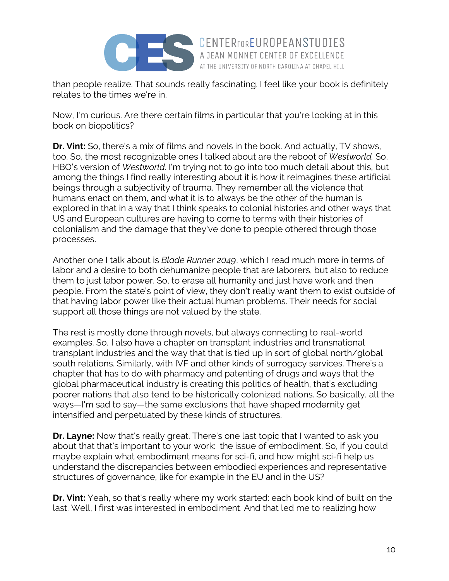

than people realize. That sounds really fascinating. I feel like your book is definitely relates to the times we're in.

A JEAN MONNET CENTER OF EXCELLENCE AT THE UNIVERSITY OF NORTH CAROLINA AT CHAPEL HILL

Now, I'm curious. Are there certain films in particular that you're looking at in this book on biopolitics?

**Dr. Vint:** So, there's a mix of films and novels in the book. And actually, TV shows, too. So, the most recognizable ones I talked about are the reboot of *Westworld.* So, HBO's version of *Westworld*. I'm trying not to go into too much detail about this, but among the things I find really interesting about it is how it reimagines these artificial beings through a subjectivity of trauma. They remember all the violence that humans enact on them, and what it is to always be the other of the human is explored in that in a way that I think speaks to colonial histories and other ways that US and European cultures are having to come to terms with their histories of colonialism and the damage that they've done to people othered through those processes.

Another one I talk about is *Blade Runner 2049*, which I read much more in terms of labor and a desire to both dehumanize people that are laborers, but also to reduce them to just labor power. So, to erase all humanity and just have work and then people. From the state's point of view, they don't really want them to exist outside of that having labor power like their actual human problems. Their needs for social support all those things are not valued by the state.

The rest is mostly done through novels, but always connecting to real-world examples. So, I also have a chapter on transplant industries and transnational transplant industries and the way that that is tied up in sort of global north/global south relations. Similarly, with IVF and other kinds of surrogacy services. There's a chapter that has to do with pharmacy and patenting of drugs and ways that the global pharmaceutical industry is creating this politics of health, that's excluding poorer nations that also tend to be historically colonized nations. So basically, all the ways—I'm sad to say—the same exclusions that have shaped modernity get intensified and perpetuated by these kinds of structures.

**Dr. Layne:** Now that's really great. There's one last topic that I wanted to ask you about that that's important to your work: the issue of embodiment. So, if you could maybe explain what embodiment means for sci-fi, and how might sci-fi help us understand the discrepancies between embodied experiences and representative structures of governance, like for example in the EU and in the US?

**Dr. Vint:** Yeah, so that's really where my work started: each book kind of built on the last. Well, I first was interested in embodiment. And that led me to realizing how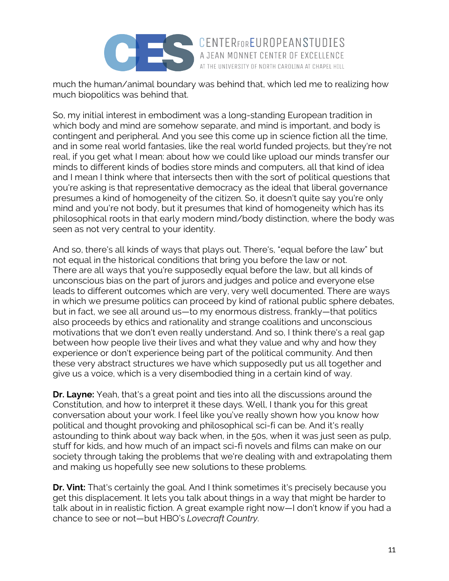

much the human/animal boundary was behind that, which led me to realizing how much biopolitics was behind that.

A JEAN MONNET CENTER OF EXCELLENCE AT THE UNIVERSITY OF NORTH CAROLINA AT CHAPEL HILL

So, my initial interest in embodiment was a long-standing European tradition in which body and mind are somehow separate, and mind is important, and body is contingent and peripheral. And you see this come up in science fiction all the time, and in some real world fantasies, like the real world funded projects, but they're not real, if you get what I mean: about how we could like upload our minds transfer our minds to different kinds of bodies store minds and computers, all that kind of idea and I mean I think where that intersects then with the sort of political questions that you're asking is that representative democracy as the ideal that liberal governance presumes a kind of homogeneity of the citizen. So, it doesn't quite say you're only mind and you're not body, but it presumes that kind of homogeneity which has its philosophical roots in that early modern mind/body distinction, where the body was seen as not very central to your identity.

And so, there's all kinds of ways that plays out. There's, "equal before the law" but not equal in the historical conditions that bring you before the law or not. There are all ways that you're supposedly equal before the law, but all kinds of unconscious bias on the part of jurors and judges and police and everyone else leads to different outcomes which are very, very well documented. There are ways in which we presume politics can proceed by kind of rational public sphere debates, but in fact, we see all around us—to my enormous distress, frankly—that politics also proceeds by ethics and rationality and strange coalitions and unconscious motivations that we don't even really understand. And so, I think there's a real gap between how people live their lives and what they value and why and how they experience or don't experience being part of the political community. And then these very abstract structures we have which supposedly put us all together and give us a voice, which is a very disembodied thing in a certain kind of way.

**Dr. Layne:** Yeah, that's a great point and ties into all the discussions around the Constitution, and how to interpret it these days. Well, I thank you for this great conversation about your work. I feel like you've really shown how you know how political and thought provoking and philosophical sci-fi can be. And it's really astounding to think about way back when, in the 50s, when it was just seen as pulp, stuff for kids, and how much of an impact sci-fi novels and films can make on our society through taking the problems that we're dealing with and extrapolating them and making us hopefully see new solutions to these problems.

**Dr. Vint:** That's certainly the goal. And I think sometimes it's precisely because you get this displacement. It lets you talk about things in a way that might be harder to talk about in in realistic fiction. A great example right now—I don't know if you had a chance to see or not—but HBO's *Lovecraft Country*.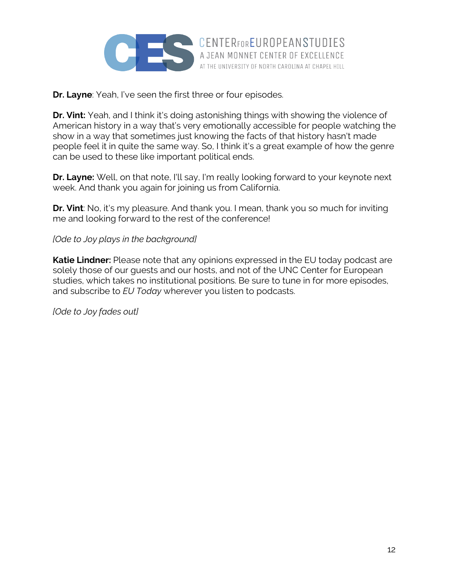

**Dr. Layne**: Yeah, I've seen the first three or four episodes.

**Dr. Vint:** Yeah, and I think it's doing astonishing things with showing the violence of American history in a way that's very emotionally accessible for people watching the show in a way that sometimes just knowing the facts of that history hasn't made people feel it in quite the same way. So, I think it's a great example of how the genre can be used to these like important political ends.

**Dr. Layne:** Well, on that note, I'll say, I'm really looking forward to your keynote next week. And thank you again for joining us from California.

**Dr. Vint**: No, it's my pleasure. And thank you. I mean, thank you so much for inviting me and looking forward to the rest of the conference!

## *[Ode to Joy plays in the background]*

**Katie Lindner:** Please note that any opinions expressed in the EU today podcast are solely those of our guests and our hosts, and not of the UNC Center for European studies, which takes no institutional positions. Be sure to tune in for more episodes, and subscribe to *EU Today* wherever you listen to podcasts.

*[Ode to Joy fades out]*